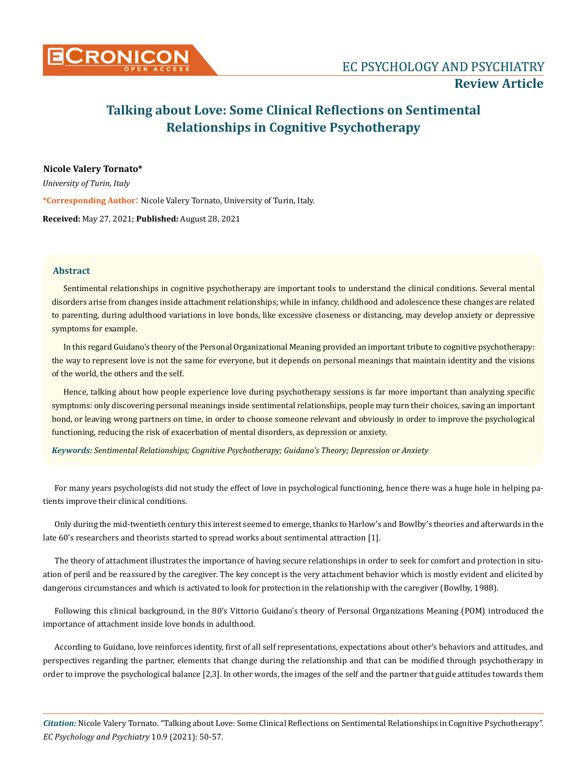

# **Talking about Love: Some Clinical Reflections on Sentimental Relationships in Cognitive Psychotherapy**

# **Nicole Valery Tornato\***

*University of Turin, Italy*  **\*Corresponding Author**: Nicole Valery Tornato, University of Turin, Italy. **Received:** May 27, 2021; **Published:** August 28, 2021

## **Abstract**

Sentimental relationships in cognitive psychotherapy are important tools to understand the clinical conditions. Several mental disorders arise from changes inside attachment relationships; while in infancy, childhood and adolescence these changes are related to parenting, during adulthood variations in love bonds, like excessive closeness or distancing, may develop anxiety or depressive symptoms for example.

In this regard Guidano's theory of the Personal Organizational Meaning provided an important tribute to cognitive psychotherapy: the way to represent love is not the same for everyone, but it depends on personal meanings that maintain identity and the visions of the world, the others and the self.

Hence, talking about how people experience love during psychotherapy sessions is far more important than analyzing specific symptoms: only discovering personal meanings inside sentimental relationships, people may turn their choices, saving an important bond, or leaving wrong partners on time, in order to choose someone relevant and obviously in order to improve the psychological functioning, reducing the risk of exacerbation of mental disorders, as depression or anxiety.

*Keywords: Sentimental Relationships; Cognitive Psychotherapy; Guidano's Theory; Depression or Anxiety*

For many years psychologists did not study the effect of love in psychological functioning, hence there was a huge hole in helping patients improve their clinical conditions.

Only during the mid-twentieth century this interest seemed to emerge, thanks to Harlow's and Bowlby's theories and afterwards in the late 60's researchers and theorists started to spread works about sentimental attraction [1].

The theory of attachment illustrates the importance of having secure relationships in order to seek for comfort and protection in situation of peril and be reassured by the caregiver. The key concept is the very attachment behavior which is mostly evident and elicited by dangerous circumstances and which is activated to look for protection in the relationship with the caregiver (Bowlby, 1988).

Following this clinical background, in the 80's Vittorio Guidano's theory of Personal Organizations Meaning (POM) introduced the importance of attachment inside love bonds in adulthood.

According to Guidano, love reinforces identity, first of all self representations, expectations about other's behaviors and attitudes, and perspectives regarding the partner, elements that change during the relationship and that can be modified through psychotherapy in order to improve the psychological balance [2,3]. In other words, the images of the self and the partner that guide attitudes towards them

*Citation:* Nicole Valery Tornato. "Talking about Love: Some Clinical Reflections on Sentimental Relationships in Cognitive Psychotherapy". *EC Psychology and Psychiatry* 10.9 (2021): 50-57.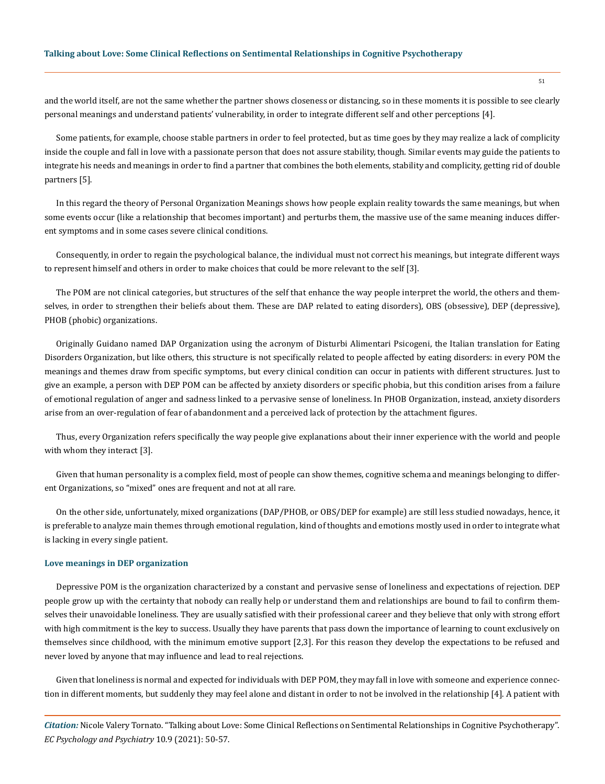and the world itself, are not the same whether the partner shows closeness or distancing, so in these moments it is possible to see clearly personal meanings and understand patients' vulnerability, in order to integrate different self and other perceptions [4].

Some patients, for example, choose stable partners in order to feel protected, but as time goes by they may realize a lack of complicity inside the couple and fall in love with a passionate person that does not assure stability, though. Similar events may guide the patients to integrate his needs and meanings in order to find a partner that combines the both elements, stability and complicity, getting rid of double partners [5].

In this regard the theory of Personal Organization Meanings shows how people explain reality towards the same meanings, but when some events occur (like a relationship that becomes important) and perturbs them, the massive use of the same meaning induces different symptoms and in some cases severe clinical conditions.

Consequently, in order to regain the psychological balance, the individual must not correct his meanings, but integrate different ways to represent himself and others in order to make choices that could be more relevant to the self [3].

The POM are not clinical categories, but structures of the self that enhance the way people interpret the world, the others and themselves, in order to strengthen their beliefs about them. These are DAP related to eating disorders), OBS (obsessive), DEP (depressive), PHOB (phobic) organizations.

Originally Guidano named DAP Organization using the acronym of Disturbi Alimentari Psicogeni, the Italian translation for Eating Disorders Organization, but like others, this structure is not specifically related to people affected by eating disorders: in every POM the meanings and themes draw from specific symptoms, but every clinical condition can occur in patients with different structures. Just to give an example, a person with DEP POM can be affected by anxiety disorders or specific phobia, but this condition arises from a failure of emotional regulation of anger and sadness linked to a pervasive sense of loneliness. In PHOB Organization, instead, anxiety disorders arise from an over-regulation of fear of abandonment and a perceived lack of protection by the attachment figures.

Thus, every Organization refers specifically the way people give explanations about their inner experience with the world and people with whom they interact [3].

Given that human personality is a complex field, most of people can show themes, cognitive schema and meanings belonging to different Organizations, so "mixed" ones are frequent and not at all rare.

On the other side, unfortunately, mixed organizations (DAP/PHOB, or OBS/DEP for example) are still less studied nowadays, hence, it is preferable to analyze main themes through emotional regulation, kind of thoughts and emotions mostly used in order to integrate what is lacking in every single patient.

#### **Love meanings in DEP organization**

Depressive POM is the organization characterized by a constant and pervasive sense of loneliness and expectations of rejection. DEP people grow up with the certainty that nobody can really help or understand them and relationships are bound to fail to confirm themselves their unavoidable loneliness. They are usually satisfied with their professional career and they believe that only with strong effort with high commitment is the key to success. Usually they have parents that pass down the importance of learning to count exclusively on themselves since childhood, with the minimum emotive support [2,3]. For this reason they develop the expectations to be refused and never loved by anyone that may influence and lead to real rejections.

Given that loneliness is normal and expected for individuals with DEP POM, they may fall in love with someone and experience connection in different moments, but suddenly they may feel alone and distant in order to not be involved in the relationship [4]. A patient with

*Citation:* Nicole Valery Tornato. "Talking about Love: Some Clinical Reflections on Sentimental Relationships in Cognitive Psychotherapy". *EC Psychology and Psychiatry* 10.9 (2021): 50-57.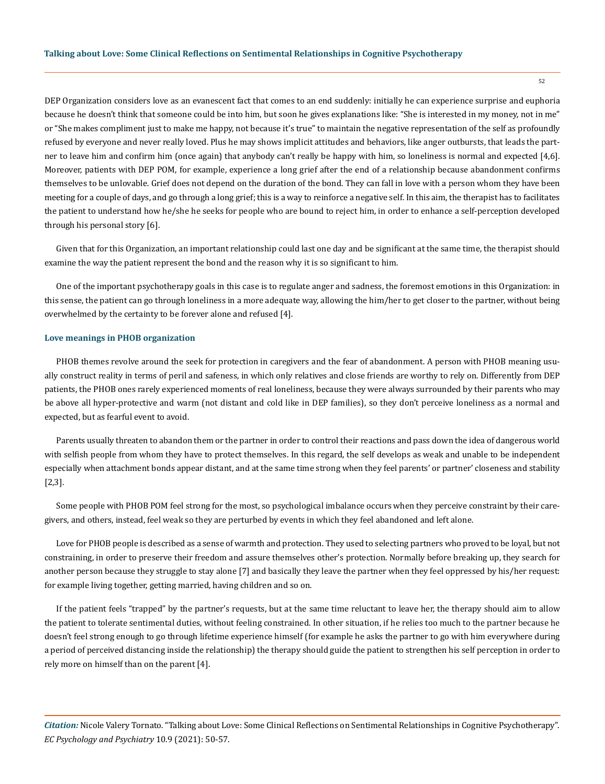DEP Organization considers love as an evanescent fact that comes to an end suddenly: initially he can experience surprise and euphoria because he doesn't think that someone could be into him, but soon he gives explanations like: "She is interested in my money, not in me" or "She makes compliment just to make me happy, not because it's true" to maintain the negative representation of the self as profoundly refused by everyone and never really loved. Plus he may shows implicit attitudes and behaviors, like anger outbursts, that leads the partner to leave him and confirm him (once again) that anybody can't really be happy with him, so loneliness is normal and expected [4,6]. Moreover, patients with DEP POM, for example, experience a long grief after the end of a relationship because abandonment confirms themselves to be unlovable. Grief does not depend on the duration of the bond. They can fall in love with a person whom they have been meeting for a couple of days, and go through a long grief; this is a way to reinforce a negative self. In this aim, the therapist has to facilitates the patient to understand how he/she he seeks for people who are bound to reject him, in order to enhance a self-perception developed through his personal story [6].

Given that for this Organization, an important relationship could last one day and be significant at the same time, the therapist should examine the way the patient represent the bond and the reason why it is so significant to him.

One of the important psychotherapy goals in this case is to regulate anger and sadness, the foremost emotions in this Organization: in this sense, the patient can go through loneliness in a more adequate way, allowing the him/her to get closer to the partner, without being overwhelmed by the certainty to be forever alone and refused [4].

#### **Love meanings in PHOB organization**

PHOB themes revolve around the seek for protection in caregivers and the fear of abandonment. A person with PHOB meaning usually construct reality in terms of peril and safeness, in which only relatives and close friends are worthy to rely on. Differently from DEP patients, the PHOB ones rarely experienced moments of real loneliness, because they were always surrounded by their parents who may be above all hyper-protective and warm (not distant and cold like in DEP families), so they don't perceive loneliness as a normal and expected, but as fearful event to avoid.

Parents usually threaten to abandon them or the partner in order to control their reactions and pass down the idea of dangerous world with selfish people from whom they have to protect themselves. In this regard, the self develops as weak and unable to be independent especially when attachment bonds appear distant, and at the same time strong when they feel parents' or partner' closeness and stability [2,3].

Some people with PHOB POM feel strong for the most, so psychological imbalance occurs when they perceive constraint by their caregivers, and others, instead, feel weak so they are perturbed by events in which they feel abandoned and left alone.

Love for PHOB people is described as a sense of warmth and protection. They used to selecting partners who proved to be loyal, but not constraining, in order to preserve their freedom and assure themselves other's protection. Normally before breaking up, they search for another person because they struggle to stay alone [7] and basically they leave the partner when they feel oppressed by his/her request: for example living together, getting married, having children and so on.

If the patient feels "trapped" by the partner's requests, but at the same time reluctant to leave her, the therapy should aim to allow the patient to tolerate sentimental duties, without feeling constrained. In other situation, if he relies too much to the partner because he doesn't feel strong enough to go through lifetime experience himself (for example he asks the partner to go with him everywhere during a period of perceived distancing inside the relationship) the therapy should guide the patient to strengthen his self perception in order to rely more on himself than on the parent [4].

*Citation:* Nicole Valery Tornato. "Talking about Love: Some Clinical Reflections on Sentimental Relationships in Cognitive Psychotherapy". *EC Psychology and Psychiatry* 10.9 (2021): 50-57.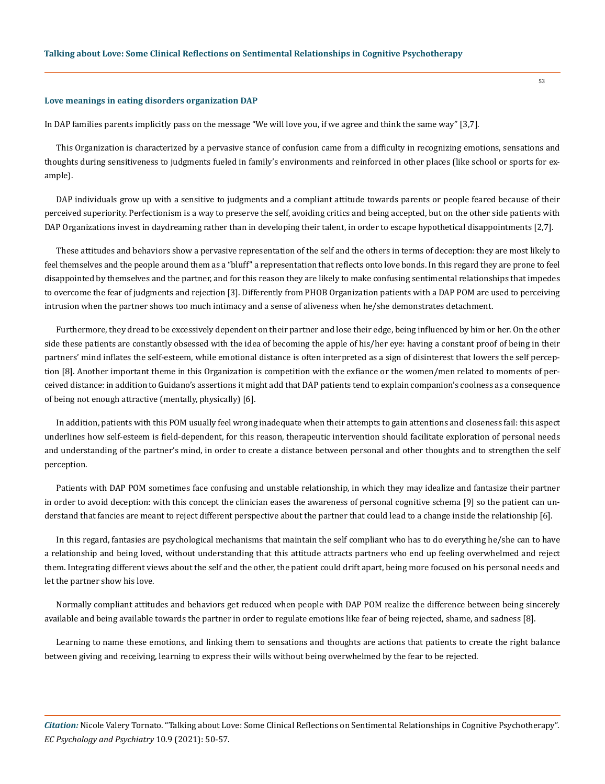#### **Love meanings in eating disorders organization DAP**

In DAP families parents implicitly pass on the message "We will love you, if we agree and think the same way" [3,7].

This Organization is characterized by a pervasive stance of confusion came from a difficulty in recognizing emotions, sensations and thoughts during sensitiveness to judgments fueled in family's environments and reinforced in other places (like school or sports for example).

DAP individuals grow up with a sensitive to judgments and a compliant attitude towards parents or people feared because of their perceived superiority. Perfectionism is a way to preserve the self, avoiding critics and being accepted, but on the other side patients with DAP Organizations invest in daydreaming rather than in developing their talent, in order to escape hypothetical disappointments [2,7].

These attitudes and behaviors show a pervasive representation of the self and the others in terms of deception: they are most likely to feel themselves and the people around them as a "bluff" a representation that reflects onto love bonds. In this regard they are prone to feel disappointed by themselves and the partner, and for this reason they are likely to make confusing sentimental relationships that impedes to overcome the fear of judgments and rejection [3]. Differently from PHOB Organization patients with a DAP POM are used to perceiving intrusion when the partner shows too much intimacy and a sense of aliveness when he/she demonstrates detachment.

Furthermore, they dread to be excessively dependent on their partner and lose their edge, being influenced by him or her. On the other side these patients are constantly obsessed with the idea of becoming the apple of his/her eye: having a constant proof of being in their partners' mind inflates the self-esteem, while emotional distance is often interpreted as a sign of disinterest that lowers the self perception [8]. Another important theme in this Organization is competition with the exfiance or the women/men related to moments of perceived distance: in addition to Guidano's assertions it might add that DAP patients tend to explain companion's coolness as a consequence of being not enough attractive (mentally, physically) [6].

In addition, patients with this POM usually feel wrong inadequate when their attempts to gain attentions and closeness fail: this aspect underlines how self-esteem is field-dependent, for this reason, therapeutic intervention should facilitate exploration of personal needs and understanding of the partner's mind, in order to create a distance between personal and other thoughts and to strengthen the self perception.

Patients with DAP POM sometimes face confusing and unstable relationship, in which they may idealize and fantasize their partner in order to avoid deception: with this concept the clinician eases the awareness of personal cognitive schema [9] so the patient can understand that fancies are meant to reject different perspective about the partner that could lead to a change inside the relationship [6].

In this regard, fantasies are psychological mechanisms that maintain the self compliant who has to do everything he/she can to have a relationship and being loved, without understanding that this attitude attracts partners who end up feeling overwhelmed and reject them. Integrating different views about the self and the other, the patient could drift apart, being more focused on his personal needs and let the partner show his love.

Normally compliant attitudes and behaviors get reduced when people with DAP POM realize the difference between being sincerely available and being available towards the partner in order to regulate emotions like fear of being rejected, shame, and sadness [8].

Learning to name these emotions, and linking them to sensations and thoughts are actions that patients to create the right balance between giving and receiving, learning to express their wills without being overwhelmed by the fear to be rejected.

*Citation:* Nicole Valery Tornato. "Talking about Love: Some Clinical Reflections on Sentimental Relationships in Cognitive Psychotherapy". *EC Psychology and Psychiatry* 10.9 (2021): 50-57.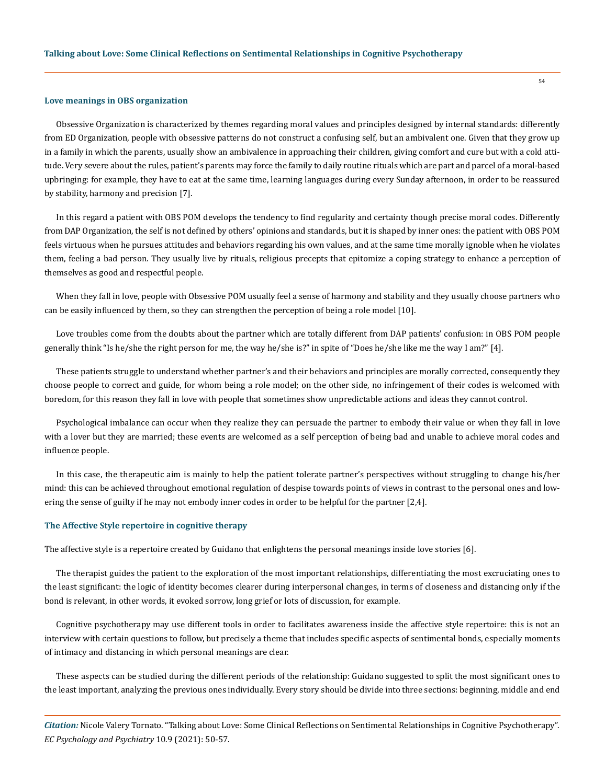#### **Love meanings in OBS organization**

Obsessive Organization is characterized by themes regarding moral values and principles designed by internal standards: differently from ED Organization, people with obsessive patterns do not construct a confusing self, but an ambivalent one. Given that they grow up in a family in which the parents, usually show an ambivalence in approaching their children, giving comfort and cure but with a cold attitude. Very severe about the rules, patient's parents may force the family to daily routine rituals which are part and parcel of a moral-based upbringing: for example, they have to eat at the same time, learning languages during every Sunday afternoon, in order to be reassured by stability, harmony and precision [7].

In this regard a patient with OBS POM develops the tendency to find regularity and certainty though precise moral codes. Differently from DAP Organization, the self is not defined by others' opinions and standards, but it is shaped by inner ones: the patient with OBS POM feels virtuous when he pursues attitudes and behaviors regarding his own values, and at the same time morally ignoble when he violates them, feeling a bad person. They usually live by rituals, religious precepts that epitomize a coping strategy to enhance a perception of themselves as good and respectful people.

When they fall in love, people with Obsessive POM usually feel a sense of harmony and stability and they usually choose partners who can be easily influenced by them, so they can strengthen the perception of being a role model [10].

Love troubles come from the doubts about the partner which are totally different from DAP patients' confusion: in OBS POM people generally think "Is he/she the right person for me, the way he/she is?" in spite of "Does he/she like me the way I am?" [4].

These patients struggle to understand whether partner's and their behaviors and principles are morally corrected, consequently they choose people to correct and guide, for whom being a role model; on the other side, no infringement of their codes is welcomed with boredom, for this reason they fall in love with people that sometimes show unpredictable actions and ideas they cannot control.

Psychological imbalance can occur when they realize they can persuade the partner to embody their value or when they fall in love with a lover but they are married; these events are welcomed as a self perception of being bad and unable to achieve moral codes and influence people.

In this case, the therapeutic aim is mainly to help the patient tolerate partner's perspectives without struggling to change his/her mind: this can be achieved throughout emotional regulation of despise towards points of views in contrast to the personal ones and lowering the sense of guilty if he may not embody inner codes in order to be helpful for the partner [2,4].

#### **The Affective Style repertoire in cognitive therapy**

The affective style is a repertoire created by Guidano that enlightens the personal meanings inside love stories [6].

The therapist guides the patient to the exploration of the most important relationships, differentiating the most excruciating ones to the least significant: the logic of identity becomes clearer during interpersonal changes, in terms of closeness and distancing only if the bond is relevant, in other words, it evoked sorrow, long grief or lots of discussion, for example.

Cognitive psychotherapy may use different tools in order to facilitates awareness inside the affective style repertoire: this is not an interview with certain questions to follow, but precisely a theme that includes specific aspects of sentimental bonds, especially moments of intimacy and distancing in which personal meanings are clear.

These aspects can be studied during the different periods of the relationship: Guidano suggested to split the most significant ones to the least important, analyzing the previous ones individually. Every story should be divide into three sections: beginning, middle and end

*Citation:* Nicole Valery Tornato. "Talking about Love: Some Clinical Reflections on Sentimental Relationships in Cognitive Psychotherapy". *EC Psychology and Psychiatry* 10.9 (2021): 50-57.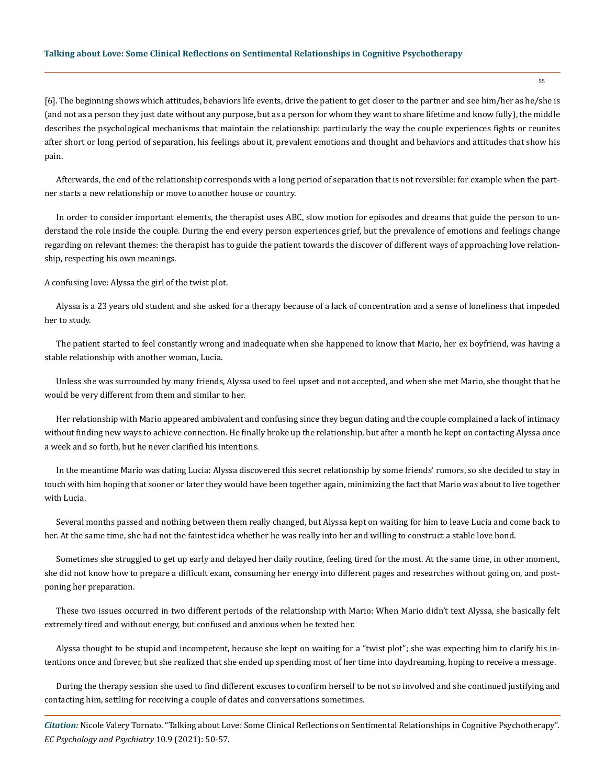## **Talking about Love: Some Clinical Reflections on Sentimental Relationships in Cognitive Psychotherapy**

[6]. The beginning shows which attitudes, behaviors life events, drive the patient to get closer to the partner and see him/her as he/she is (and not as a person they just date without any purpose, but as a person for whom they want to share lifetime and know fully), the middle describes the psychological mechanisms that maintain the relationship: particularly the way the couple experiences fights or reunites after short or long period of separation, his feelings about it, prevalent emotions and thought and behaviors and attitudes that show his pain.

Afterwards, the end of the relationship corresponds with a long period of separation that is not reversible: for example when the partner starts a new relationship or move to another house or country.

In order to consider important elements, the therapist uses ABC, slow motion for episodes and dreams that guide the person to understand the role inside the couple. During the end every person experiences grief, but the prevalence of emotions and feelings change regarding on relevant themes: the therapist has to guide the patient towards the discover of different ways of approaching love relationship, respecting his own meanings.

A confusing love: Alyssa the girl of the twist plot.

Alyssa is a 23 years old student and she asked for a therapy because of a lack of concentration and a sense of loneliness that impeded her to study.

The patient started to feel constantly wrong and inadequate when she happened to know that Mario, her ex boyfriend, was having a stable relationship with another woman, Lucia.

Unless she was surrounded by many friends, Alyssa used to feel upset and not accepted, and when she met Mario, she thought that he would be very different from them and similar to her.

Her relationship with Mario appeared ambivalent and confusing since they begun dating and the couple complained a lack of intimacy without finding new ways to achieve connection. He finally broke up the relationship, but after a month he kept on contacting Alyssa once a week and so forth, but he never clarified his intentions.

In the meantime Mario was dating Lucia: Alyssa discovered this secret relationship by some friends' rumors, so she decided to stay in touch with him hoping that sooner or later they would have been together again, minimizing the fact that Mario was about to live together with Lucia.

Several months passed and nothing between them really changed, but Alyssa kept on waiting for him to leave Lucia and come back to her. At the same time, she had not the faintest idea whether he was really into her and willing to construct a stable love bond.

Sometimes she struggled to get up early and delayed her daily routine, feeling tired for the most. At the same time, in other moment, she did not know how to prepare a difficult exam, consuming her energy into different pages and researches without going on, and postponing her preparation.

These two issues occurred in two different periods of the relationship with Mario: When Mario didn't text Alyssa, she basically felt extremely tired and without energy, but confused and anxious when he texted her.

Alyssa thought to be stupid and incompetent, because she kept on waiting for a "twist plot"; she was expecting him to clarify his intentions once and forever, but she realized that she ended up spending most of her time into daydreaming, hoping to receive a message.

During the therapy session she used to find different excuses to confirm herself to be not so involved and she continued justifying and contacting him, settling for receiving a couple of dates and conversations sometimes.

*Citation:* Nicole Valery Tornato. "Talking about Love: Some Clinical Reflections on Sentimental Relationships in Cognitive Psychotherapy". *EC Psychology and Psychiatry* 10.9 (2021): 50-57.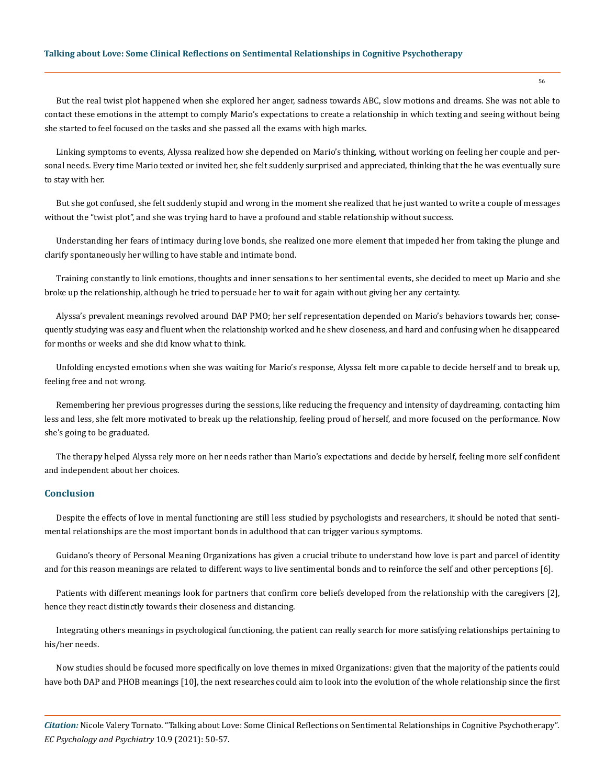## **Talking about Love: Some Clinical Reflections on Sentimental Relationships in Cognitive Psychotherapy**

But the real twist plot happened when she explored her anger, sadness towards ABC, slow motions and dreams. She was not able to contact these emotions in the attempt to comply Mario's expectations to create a relationship in which texting and seeing without being she started to feel focused on the tasks and she passed all the exams with high marks.

Linking symptoms to events, Alyssa realized how she depended on Mario's thinking, without working on feeling her couple and personal needs. Every time Mario texted or invited her, she felt suddenly surprised and appreciated, thinking that the he was eventually sure to stay with her.

But she got confused, she felt suddenly stupid and wrong in the moment she realized that he just wanted to write a couple of messages without the "twist plot", and she was trying hard to have a profound and stable relationship without success.

Understanding her fears of intimacy during love bonds, she realized one more element that impeded her from taking the plunge and clarify spontaneously her willing to have stable and intimate bond.

Training constantly to link emotions, thoughts and inner sensations to her sentimental events, she decided to meet up Mario and she broke up the relationship, although he tried to persuade her to wait for again without giving her any certainty.

Alyssa's prevalent meanings revolved around DAP PMO; her self representation depended on Mario's behaviors towards her, consequently studying was easy and fluent when the relationship worked and he shew closeness, and hard and confusing when he disappeared for months or weeks and she did know what to think.

Unfolding encysted emotions when she was waiting for Mario's response, Alyssa felt more capable to decide herself and to break up, feeling free and not wrong.

Remembering her previous progresses during the sessions, like reducing the frequency and intensity of daydreaming, contacting him less and less, she felt more motivated to break up the relationship, feeling proud of herself, and more focused on the performance. Now she's going to be graduated.

The therapy helped Alyssa rely more on her needs rather than Mario's expectations and decide by herself, feeling more self confident and independent about her choices.

### **Conclusion**

Despite the effects of love in mental functioning are still less studied by psychologists and researchers, it should be noted that sentimental relationships are the most important bonds in adulthood that can trigger various symptoms.

Guidano's theory of Personal Meaning Organizations has given a crucial tribute to understand how love is part and parcel of identity and for this reason meanings are related to different ways to live sentimental bonds and to reinforce the self and other perceptions [6].

Patients with different meanings look for partners that confirm core beliefs developed from the relationship with the caregivers [2], hence they react distinctly towards their closeness and distancing.

Integrating others meanings in psychological functioning, the patient can really search for more satisfying relationships pertaining to his/her needs.

Now studies should be focused more specifically on love themes in mixed Organizations: given that the majority of the patients could have both DAP and PHOB meanings [10], the next researches could aim to look into the evolution of the whole relationship since the first

*Citation:* Nicole Valery Tornato. "Talking about Love: Some Clinical Reflections on Sentimental Relationships in Cognitive Psychotherapy". *EC Psychology and Psychiatry* 10.9 (2021): 50-57.